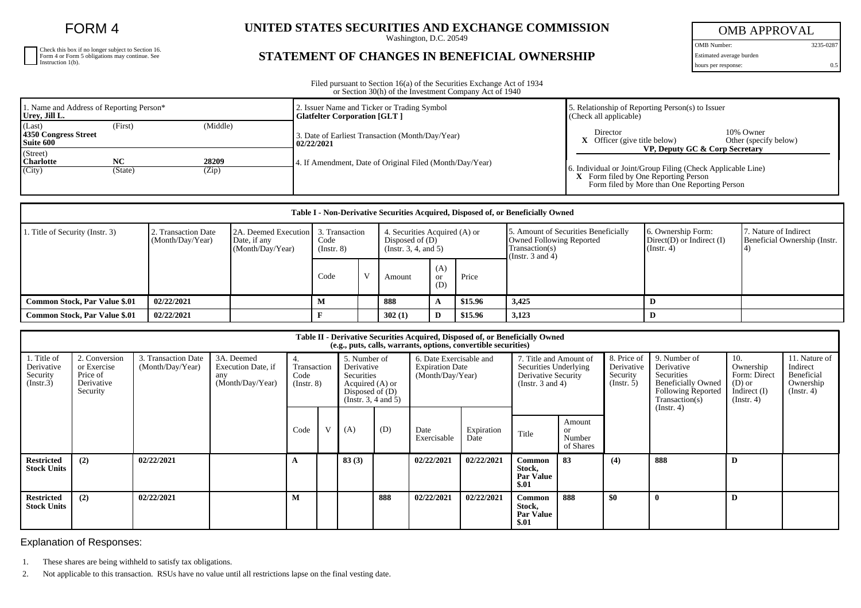FORM 4

| Check this box if no longer subject to Section 16.<br>Form 4 or Form 5 obligations may continue. See<br>Instruction 1(b). |
|---------------------------------------------------------------------------------------------------------------------------|
|                                                                                                                           |
|                                                                                                                           |

## **UNITED STATES SECURITIES AND EXCHANGE COMMISSION**

Washington, D.C. 20549

## **STATEMENT OF CHANGES IN BENEFICIAL OWNERSHIP**

OMB APPROVAL

OMB Number: 3235-0287 Estimated average burden

hours per response: 0.5

Filed pursuant to Section 16(a) of the Securities Exchange Act of 1934 or Section 30(h) of the Investment Company Act of 1940

| 1. Name and Address of Reporting Person*<br>Urey, Jill L. |                      |                | 2. Issuer Name and Ticker or Trading Symbol<br><b>Glatfelter Corporation [GLT ]</b> | . Relationship of Reporting Person(s) to Issuer<br>(Check all applicable)                                                             |  |  |  |  |
|-----------------------------------------------------------|----------------------|----------------|-------------------------------------------------------------------------------------|---------------------------------------------------------------------------------------------------------------------------------------|--|--|--|--|
| (Last)<br>4350 Congress Street<br>Suite 600               | (Middle)<br>(First)  |                | 3. Date of Earliest Transaction (Month/Day/Year)<br>02/22/2021                      | 10% Owner<br>Director<br>$X$ Officer (give title below)<br>Other (specify below)                                                      |  |  |  |  |
| (Street)<br><b>Charlotte</b><br>(City)                    | <b>NC</b><br>(State) | 28209<br>(Zip) | 4. If Amendment, Date of Original Filed (Month/Day/Year)                            | VP, Deputy GC & Corp Secretary<br>6. Individual or Joint/Group Filing (Check Applicable Line)<br>X Form filed by One Reporting Person |  |  |  |  |
|                                                           |                      |                |                                                                                     | Form filed by More than One Reporting Person                                                                                          |  |  |  |  |

| Table I - Non-Derivative Securities Acquired, Disposed of, or Beneficially Owned |                                         |                                                          |                     |                |        |                                            |                               |                                                                                                                    |                                                                   |                                                       |  |
|----------------------------------------------------------------------------------|-----------------------------------------|----------------------------------------------------------|---------------------|----------------|--------|--------------------------------------------|-------------------------------|--------------------------------------------------------------------------------------------------------------------|-------------------------------------------------------------------|-------------------------------------------------------|--|
| . Title of Security (Instr. 3)                                                   | 2. Transaction Date<br>(Month/Day/Year) | 2A. Deemed Execution<br>Date, if any<br>(Month/Day/Year) | Code<br>(Insert. 8) | 3. Transaction |        | Disposed of $(D)$<br>(Insert. 3, 4, and 5) | 4. Securities Acquired (A) or | 5. Amount of Securities Beneficially<br><b>Owned Following Reported</b><br>Transaction(s)<br>(Instr. $3$ and $4$ ) | 6. Ownership Form:<br>$Direct(D)$ or Indirect $(I)$<br>(Instr. 4) | 7. Nature of Indirect<br>Beneficial Ownership (Instr. |  |
|                                                                                  |                                         |                                                          | Code                |                | Amount | (A)<br><b>or</b><br>(D)                    | Price                         |                                                                                                                    |                                                                   |                                                       |  |
| <b>Common Stock, Par Value \$.01</b>                                             | 02/22/2021                              |                                                          | м                   |                | 888    | A                                          | \$15.96                       | 3,425                                                                                                              |                                                                   |                                                       |  |
| Common Stock, Par Value \$.01                                                    | 02/22/2021                              |                                                          |                     |                | 302(1) | D                                          | \$15.96                       | 3,123                                                                                                              |                                                                   |                                                       |  |

| Table II - Derivative Securities Acquired, Disposed of, or Beneficially Owned<br>(e.g., puts, calls, warrants, options, convertible securities) |                                                                    |                                         |                                                             |                                         |   |                                                                                                              |     |                                                                       |                    |                                                                                                 |                                                |                                                      |                                                                                                                                          |                                                                                    |                                                                          |
|-------------------------------------------------------------------------------------------------------------------------------------------------|--------------------------------------------------------------------|-----------------------------------------|-------------------------------------------------------------|-----------------------------------------|---|--------------------------------------------------------------------------------------------------------------|-----|-----------------------------------------------------------------------|--------------------|-------------------------------------------------------------------------------------------------|------------------------------------------------|------------------------------------------------------|------------------------------------------------------------------------------------------------------------------------------------------|------------------------------------------------------------------------------------|--------------------------------------------------------------------------|
| 1. Title of<br>Derivative<br>Security<br>(Insert.3)                                                                                             | 2. Conversion<br>or Exercise<br>Price of<br>Derivative<br>Security | 3. Transaction Date<br>(Month/Day/Year) | 3A. Deemed<br>Execution Date, if<br>any<br>(Month/Day/Year) | 4.<br>Transaction<br>Code<br>(Insert 8) |   | 5. Number of<br>Derivative<br>Securities<br>Acquired (A) or<br>Disposed of $(D)$<br>(Instr. $3, 4$ and $5$ ) |     | 6. Date Exercisable and<br><b>Expiration Date</b><br>(Month/Day/Year) |                    | 7. Title and Amount of<br>Securities Underlying<br>Derivative Security<br>(Instr. $3$ and $4$ ) |                                                | 8. Price of<br>Derivative<br>Security<br>(Insert. 5) | 9. Number of<br>Derivative<br>Securities<br><b>Beneficially Owned</b><br><b>Following Reported</b><br>Transaction(s)<br>$($ Instr. 4 $)$ | 10.<br>Ownership<br>Form: Direct<br>$(D)$ or<br>Indirect $(I)$<br>$($ Instr. 4 $)$ | 11. Nature of<br>Indirect<br>Beneficial<br>Ownership<br>$($ Instr. 4 $)$ |
|                                                                                                                                                 |                                                                    |                                         |                                                             | Code                                    | V | (A)                                                                                                          | (D) | Date<br>Exercisable                                                   | Expiration<br>Date | Title                                                                                           | Amount<br><sub>or</sub><br>Number<br>of Shares |                                                      |                                                                                                                                          |                                                                                    |                                                                          |
| <b>Restricted</b><br><b>Stock Units</b>                                                                                                         | (2)                                                                | 02/22/2021                              |                                                             |                                         |   | 83(3)                                                                                                        |     | 02/22/2021                                                            | 02/22/2021         | <b>Common</b><br>Stock,<br><b>Par Value</b><br>\$.01                                            | 83                                             | (4)                                                  | 888                                                                                                                                      | D                                                                                  |                                                                          |
| <b>Restricted</b><br><b>Stock Units</b>                                                                                                         | (2)                                                                | 02/22/2021                              |                                                             | M                                       |   |                                                                                                              | 888 | 02/22/2021                                                            | 02/22/2021         | Common<br>Stock,<br><b>Par Value</b><br>\$.01                                                   | 888                                            | \$0                                                  |                                                                                                                                          | D                                                                                  |                                                                          |

Explanation of Responses:

1. These shares are being withheld to satisfy tax obligations.

2. Not applicable to this transaction. RSUs have no value until all restrictions lapse on the final vesting date.